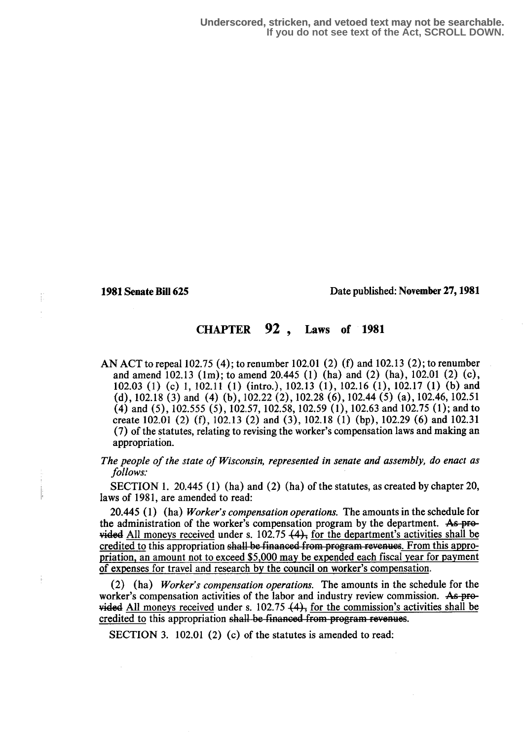#### 1981 Senate Bill 625 Date published: November 27, 1981

## CHAPTER 92 , Laws of 1981

AN ACT to repeal 102.75 (4); to renumber 102.01 (2) (f) and 102.13 (2); to renumber and amend 102.13 (1m); to amend 20.445 (1) (ha) and (2) (ha), 102.01 (2) (c), 102.03 (1) (c) 1, 102.11 (1) (intro.), 102.13 (1), 102.16 (1), 102.17 (1) (b) and (d), 102.18 (3) and (4) (b), 102.22 (2),102.28 (6),102.44 (5) (a), 102.46, 102.51 (4) and (5), 102.555 (5), 102.57, 102.58, 102.59 (1), 102.63 and 102.75 (1); and to create 102.01 (2) (f), 102.13 (2) and (3), 102.18 (1) (bp), 102.29 (6) and 102.31 (7) of the statutes, relating to revising the worker's compensation laws and making an appropriation.

The people of the state of Wisconsin, represented in senate and assembly, do enact as follows.'

SECTION 1. 20.445 (1) (ha) and (2) (ha) of the statutes, as created by chapter 20, laws of 1981, are amended to read:

20.445 (1) (ha) Worker's compensation operations. The amounts in the schedule for the administration of the worker's compensation program by the department. As provided All moneys received under s. 102.75  $(4)$ , for the department's activities shall be credited to this appropriation shall be financed from program revenues. From this appropriation, an amount not to exceed \$5,000 may be expended each fiscal year for payment of expenses for travel and research by the council on worker's compensation.

(2) (ha) Worker's compensation operations. The amounts in the schedule for the worker's compensation activities of the labor and industry review commission. As pro $y$  ided All moneys received under s. 102.75  $(4)$ , for the commission's activities shall be credited to this appropriation shall be financed from program revenues.

SECTION 3. 102.01 (2) (c) of the statutes is amended to read: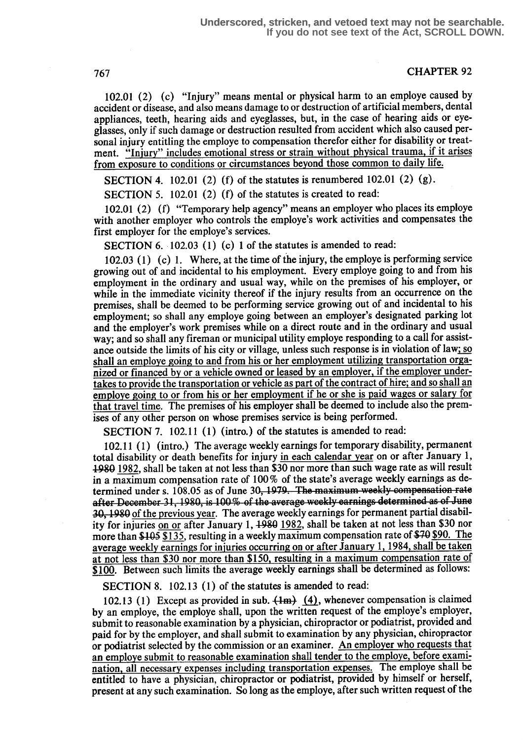# **CHAPTER 92**

102.01 (2) (c) "Injury" means mental or physical harm to an employe caused by accident or disease, and also means damage to or destruction of artificial members, dental appliances, teeth, hearing aids and eyeglasses, but, in the case of hearing aids or eyeglasses, only if such damage or destruction resulted from accident which also caused personal injury entitling the employe to compensation therefor either for disability or treatment. "Injury" includes emotional stress or strain without physical trauma, if it arises from exposure to conditions or circumstances beyond those common to daily life.

SECTION 4. 102.01 (2) (f) of the statutes is renumbered 102.01 (2) (g).

SECTION 5. 102.01 (2) (f) of the statutes is created to read:

102.01 (2) (f) "Temporary help agency" means an employer who places its employe with another employer who controls the employe's work activities and compensates the first employer for the employe's services.

SECTION 6. 102.03 (1) (c) 1 of the statutes is amended to read:

that travel time. The premises of his employer shall be deemed to include also the premises of any other person on whose premises service is being performed. 102.03 (1) (c) 1. Where, at the time of the injury, the employe is performing service growing out of and incidental to his employment. Every employe going to and from his employment in the ordinary and usual way, while on the premises of his employer, or while in the immediate vicinity thereof if the injury results from an occurrence on the premises, shall be deemed to be performing service growing out of and incidental to his employment; so shall any employe going between an employer's designated parking lot and the employer's work premises while on a direct route and in the ordinary and usual way; and so shall any fireman or municipal utility employe responding to a call for assistance outside the limits of his city or village, unless such response is in violation of law; so shall an employe going to and from his or her employment utilizing transportation organized or financed by or a vehicle owned or leased by an employer, if the employer undertakes to provide the transportation or vehicle as part of the contract of hire; and so shall an employe going to or from his or her employment if he or she is paid wages or salary for

SECTION 7. 102.11 (1) (intro.) of the statutes is amended to read:

102.11 (1) (intro.) The average weekly earnings for temporary disability, permanent total disability or death benefits for injury in each calendar year on or after January l, 1980 1982, shall be taken at not less than \$30 nor more than such wage rate as will result in a maximum compensation rate of 100 % of the state's average weekly earnings as determined under s. 108.05 as of June 30, 1979. The maximum weekly compensation rate after December 31, 1980, is 100% of the average weekly earnings determined as of June  $30, 1980$  of the previous year. The average weekly earnings for permanent partial disabil-For injuries on or after January 1, 1980 1982, shall be taken at not less than \$30 nor more than \$105 \$135, resulting in a weekly maximum compensation rate of \$70 \$90. The average weekly earnings for injuries occurring on average weekly earnings for injuries occurring on or after January 1, 1984, shall be taken at not less than \$30 nor more than \$150, resulting in a maximum compensation rate of \$100. Between such limits the average weekly earnings shall be determined as follows:

SECTION 8. 102.13 (1) of the statutes is amended to read:

102.13 (1) Except as provided in sub.  $(Hm)$  (4), whenever compensation is claimed by an employe, the employe shall, upon the written request of the employe's employer, submit to reasonable examination by a physician, chiropractor or podiatrist, provided and paid for by the employer, and shall submit to examination by any physician, chiropractor or podiatrist selected by the commission or an examiner. An employer who requests that an employe submit to reasonable examination shall tender to the emplove, before examination all necessary expenses including transportation expenses. The employe shall be entitled to have a physician, chiropractor or podiatrist, provided by himself or herself, present at any such examination. So long as the employe, after such written request of the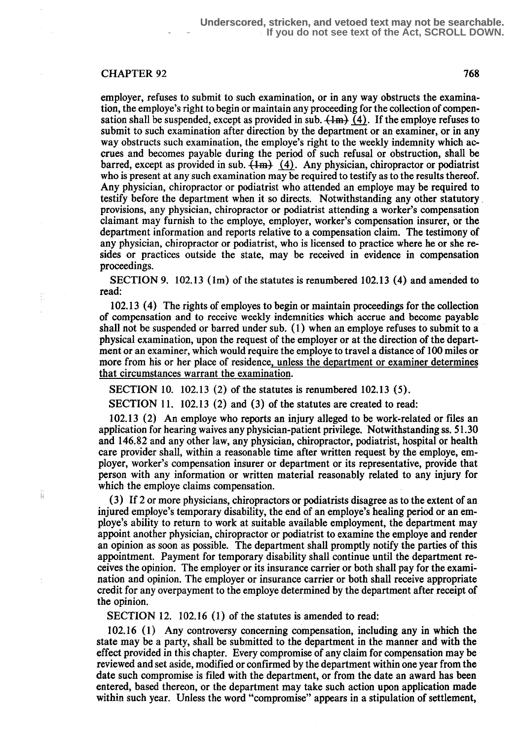#### CHAPTER 92 768

Ĭi.

employer, refuses to submit to such examination, or in any way obstructs the examination, the employe's right to begin or maintain any proceeding for the collection of compensation shall be suspended, except as provided in sub.  $(Hm)$  (4). If the employe refuses to submit to such examination after direction by the department or an examiner, or in any way obstructs such examination, the employe's right to the weekly indemnity which accrues and becomes payable during the period of such refusal or obstruction, shall be barred, except as provided in sub.  $\{Im\}$  (4). Any physician, chiropractor or podiatrist who is present at any such examination may be required to testify as to the results thereof. Any physician, chiropractor or podiatrist who attended an employe may be required to testify before the department when it so directs. Notwithstanding any other statutory . provisions, any physician, chiropractor or podiatrist attending a worker's compensation claimant may furnish to the employe, employer, worker's compensation insurer, or the department information and reports relative to a compensation claim. The testimony of any physician, chiropractor or podiatrist, who is licensed to practice where he or she resides or practices outside the state, may be received in evidence in compensation proceedings.

SECTION 9.  $102.13$  (1m) of the statutes is renumbered 102.13 (4) and amended to read:

102.13 (4) The rights of employes to begin or maintain proceedings for the collection of compensation and to receive weekly indemnities which accrue and become payable shall not be suspended or barred under sub. (1) when an employe refuses to submit to a physical examination, upon the request of the employer or at the direction of the department or an examiner, which would require the employe to travel a distance of 100 miles or more from his or her place of residence, unless the department or examiner determines that circumstances warrant the examination.

SECTION 10. 102.13 (2) of the statutes is renumbered 102.13 (5) .

SECTION 11. 102.13 (2) and (3) of the statutes are created to read:

102.13 (2) An employe who reports an injury alleged to be work-related or files an application for hearing waives any physician-patient privilege . Notwithstanding ss. 51 .30 and 146.82 and any other law, any physician, chiropractor, podiatrist, hospital or health care provider shall, within a reasonable time after written request by the employe, employer, worker's compensation insurer or department or its representative, provide that person with any information or written material reasonably related to any injury for which the employe claims compensation.

(3) If 2 or more physicians, chiropractors or podiatrists disagree as to the extent of an injured employe's temporary disability, the end of an employe's healing period or an employe's ability to return to work at suitable available employment, the department may appoint another physician, chiropractor or podiatrist to examine the employe and render an opinion as soon as possible. The department shall promptly notify the parties of this appointment. Payment for temporary disability shall continue until the department receives the opinion. The employer or its insurance carrier or both shall pay for the examination and opinion. The employer or insurance carrier or both shall receive appropriate credit for any overpayment to the employe determined by the department after receipt of the opinion.

SECTION 12. 102.16 (1) of the statutes is amended to read:

102.16 (1) Any controversy concerning compensation, including any in which the state may be a party, shall be submitted to the department in the manner and with the effect provided in this chapter. Every compromise of any claim for compensation may be reviewed and set aside, modified or confirmed by the department within one year from the date such compromise is filed with the department, or from the date an award has been entered, based thereon, or the department may take such action upon application made within such year. Unless the word "compromise" appears in a stipulation of settlement,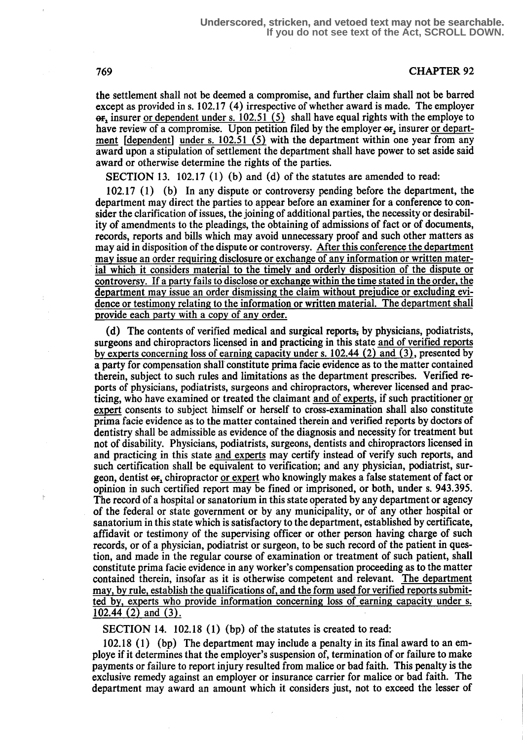#### 769 CHAPTER 92

the settlement shall not be deemed a compromise, and further claim shall not be barred except as provided in s. 102.17 (4) irrespective of whether award is made. The employer  $\theta$ <sub>r</sub>, insurer or dependent under s. 102.51 (5) shall have equal rights with the employe to have review of a compromise. Upon petition filed by the employer  $\sigma$ , insurer or department  $[dependent]$  under s. 102.51 (5) with the department within one year from any award upon a stipulation of settlement the department shall have power to set aside said award or otherwise determine the rights of the parties.

SECTION 13. 102.17 (1) (b) and (d) of the statutes are amended to read:

102.17 (1) (b) In any dispute or controversy pending before the department, the department may direct the parties to appear before an examiner for a conference to consider the clarification of issues, the joining of additional parties, the necessity or desirability of amendments to the pleadings, the obtaining of admissions of fact or of documents, records, reports and bills which may avoid unnecessary proof and such other matters as may aid in disposition of the dispute or controversy. After this conference the department<br>may issue an order requiring disclosure or exchange of any information or written material which it considers material to the timely and orderly disposition of the dispute or controversy. If a party fails to disclose or exchange within the time stated in the order, the department may issue an order dismissing the claim without prejudice or excluding evidence or testimony relating to the information or written material. The department shall provide each party with a copy of any order.

(d) The contents of verified medical and surgical reports, by physicians, podiatrists, surgeons and chiropractors licensed in and practicing in this state and of verified reports by experts concerning loss of earning capacity under s.  $102.44$  (2) and (3), presented by a party for compensation shall constitute prima facie evidence as to the matter contained therein, subject to such rules and limitations as the department prescribes. Verified reports of physicians, podiatrists, surgeons and chiropractors, wherever licensed and practicing, who have examined or treated the claimant and of experts , if such practitioner or expert consents to subject himself or herself to cross-examination shall also constitute prima facie evidence as to the matter contained therein and verified reports by doctors of dentistry shall be admissible as evidence of the diagnosis and necessity for treatment but not of disability. Physicians, podiatrists, surgeons, dentists and chiropractors licensed in and practicing in this state and experts may certify instead of verify such reports, and such certification shall be equivalent to verification; and any physician, podiatrist, surgeon, dentist or, chiropractor or expert who knowingly makes a false statement of fact or opinion in such certified report may be fined or imprisoned, or both, under s. 943.395. The record of a hospital or sanatorium in this state operated by any department or agency of the federal or state government or by any municipality, or of any other hospital or sanatorium in this state which is satisfactory to the department, established by certificate, affidavit or testimony of the supervising officer or other person having charge of such records, or of a physician, podiatrist or surgeon, to be such record of the patient in question, and made in the regular course of examination or treatment of such patient, shall constitute prima facie evidence in any worker's compensation proceeding as to the matter contained therein, insofar as it is otherwise competent and relevant. The department may, by rule, establish the qualifications of, and the form used for verified reports submit-<br>ted by, experts who provide information concerning loss of earning capacity under s. 102.44  $(2)$  and  $(3)$ .

SECTION 14. 102.18 (1) (bp) of the statutes is created to read:

102.18 (1) (bp) The department may include a penalty in its final award to an employe if it determines that the employer's suspension of, termination of or failure to make payments or failure to report injury resulted from malice or bad faith. This penalty is the exclusive remedy against an employer or insurance carrier for malice or bad faith. The department may award an amount which it considers just, not to exceed the lesser of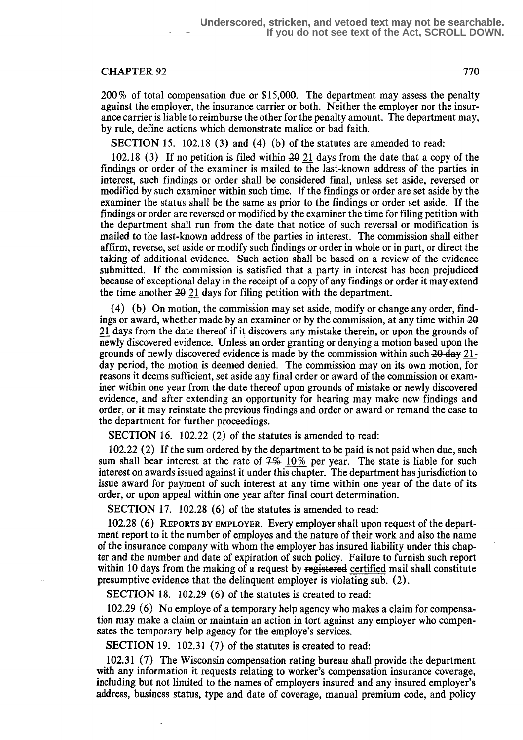### CHAPTER 92 770

200% of total compensation due or \$15,000. The department may assess the penalty against the employer, the insurance carrier or both. Neither the employer nor the insurance carrier is liable to reimburse the other for the penalty amount. The department may, by rule, define actions which demonstrate malice or bad faith.

SECTION 15. 102.18 (3) and (4) (b) of the statutes are amended to read:

102.18  $(3)$  If no petition is filed within  $20$  21 days from the date that a copy of the findings or order of the examiner is mailed to the last-known address of the parties in interest, such findings or order shall be considered final, unless set aside, reversed or modified by such examiner within such time. If the findings or order are set aside by the examiner the status shall be the same as prior to the findings or order set aside. If the findings or order are reversed or modified by the examiner the time for filing petition with the department shall run from the date that notice of such reversal or modification is mailed to the last-known address of the parties in interest. The commission shall either affirm, reverse, set aside or modify such findings or order in whole or in part, or direct the taking of additional evidence. Such action shall be based on a review of the evidence submitted. If the commission is satisfied that a party in interest has been prejudiced because of exceptional delay in the receipt of a copy of any findings or order it may extend the time another  $20$  21 days for filing petition with the department.

(4) (b) On motion, the commission may set aside, modify or change any order, findings or award, whether made by an examiner or by the commission, at any time within  $20$ 21 days from the date thereof if it discovers any mistake therein, or upon the grounds of newly discovered evidence. Unless an order granting or denying a motion based upon the grounds of newly discovered evidence is made by the commission within such  $20 \text{ day } 21$ day period, the motion is deemed denied. The commission may on its own motion, for reasons it deems sufficient, set aside any final order or award of the commission or examiner within one year from the date thereof upon grounds of mistake or newly discovered evidence, and after extending an opportunity for hearing may make new findings and order, or it may reinstate the previous findings and order or award or remand the case to the department for further proceedings.

SECTION 16. 102.22 (2) of the statutes is amended to read:

102.22 (2) If the sum ordered by the department to be paid is not paid when due, such sum shall bear interest at the rate of  $7\%$  10% per year. The state is liable for such interest on awards issued against it under this chapter. The department has jurisdiction to issue award for payment of such interest at any time within one year of the date of its order, or upon appeal within one year after final court determination.

SECTION 17. 102.28 (6) of the statutes is amended to read:

102.28 (6) REPORTS BY EMPLOYER. Every employer shall upon request of the department report to it the number of employes and the nature of their work and also the name of the insurance company with whom the employer has insured liability under this chapter and the number and date of expiration of such policy . Failure to furnish such report within 10 days from the making of a request by registered certified mail shall constitute presumptive evidence that the delinquent employer is violating sub. (2) .

SECTION 18. 102.29 (6) of the statutes is created to read:

102.29 (6) No employe of a temporary help agency who makes a claim for compensation may make a claim or maintain an action in tort against any employer who compensates the temporary help agency for the employe's services.

SECTION 19. 102.31 (7) of the statutes is created to read:

102.31 (7) The Wisconsin compensation rating bureau shall provide the department with any information it requests relating to worker's compensation insurance coverage, including but not limited to the names of employers insured and any insured employer's address, business status, type and date of coverage, manual premium code, and policy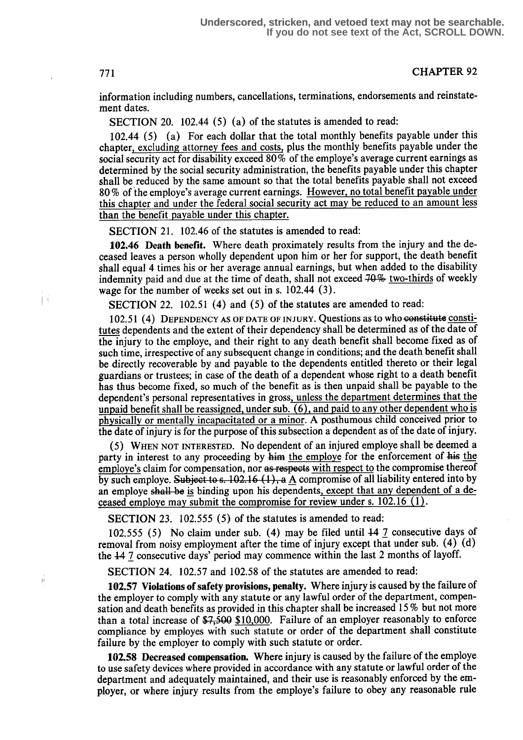## 771 CHAPTER 92

information including numbers, cancellations, terminations, endorsements and reinstatement dates.

SECTION 20. 102.44 (5) (a) of the statutes is amended to read:

102.44 (5) (a) For each dollar that the total monthly benefits payable under this chapter, excluding attorney fees and costs, plus the monthly benefits payable under the social security act for disability exceed 80 % of the employe's average current earnings as determined by the social security administration, the benefits payable under this chapter shall be reduced by the same amount so that the total benefits payable shall not exceed 80% of the employe's average current earnings. However, no total benefit payable under this chapter and under the federal social security act may be reduced to an amount less than the benefit payable under this chapter .

SECTION 21. 102.46 of the statutes is amended to read:

102.46 Death benefit. Where death proximately results from the injury and the deceased leaves a person wholly dependent upon him or her for support, the death benefit shall equal 4 times his or her average annual earnings, but when added to the disability indemnity paid and due at the time of death, shall not exceed 70% two-thirds of weekly wage for the number of weeks set out in s.  $102.44$  (3).

SECTION 22. 102.51 (4) and (5) of the statutes are amended to read:

102.51 (4) DEPENDENCY AS OF DATE OF INJURY. Questions as to who constitute constitutes dependents and the extent of their dependency shall be determined as of the date of the injury to the employe, and their right to any death benefit shall become fixed as of such time, irrespective of any subsequent change in conditions; and the death benefit shall be directly recoverable by and payable to the dependents entitled thereto or their legal guardians or trustees; in case of the death of a dependent whose right to a death benefit has thus become fixed, so much of the benefit as is then unpaid shall be payable to the dependent's personal representatives in gross, unless the department determines that the unpaid benefit shall be reassigned, under sub.  $(6)$ , and paid to any other dependent who is physically or mentally incapacitated or a minor. A posthumous child conceived prior to the date of injury is for the purpose of this subsection a dependent as of the date of injury .

(5) WHEN NOT INTERESTED . No dependent of an injured employe shall be deemed a party in interest to any proceeding by him the employe for the enforcement of his the employe's claim for compensation, nor as respects with respect to the compromise thereof by such employe. Subject to s. 102.16 (1), a  $\Delta$  compromise of all liability entered into by an employe shall be is binding upon his dependents, except that any dependent of a deceased employe may submit the compromise for review under s. 102.16 (1) .

SECTION 23. 102.555 (5) of the statutes is amended to read:

102.555 (5) No claim under sub. (4) may be filed until 44 7 consecutive days of removal from noisy employment after the time of injury except that under sub. (4) (d) the 447 consecutive days' period may commence within the last 2 months of layoff.

SECTION 24. 102.57 and 102.58 of the statutes are amended to read:

102.57 Violations of safety provisions, penalty . Where injury is caused by the failure of the employer to comply with any statute or any lawful order of the department, compensation and death benefits as provided in this chapter shall be increased 15 % but not more than a total increase of  $\frac{1}{27}$ ,  $\frac{500}{10000}$ . Failure of an employer reasonably to enforce compliance by employes with such statute or order of the department shall constitute failure by the employer to comply with such statute or order.

102.58 Decreased compensation. Where injury is caused by the failure of the employe to use safety devices where provided in accordance with any statute or lawful order of the department and adequately maintained, and their use is reasonably enforced by the employer, or where injury results from the employe's failure to obey any reasonable rule

 $\overline{\phantom{a}}$ 

ü